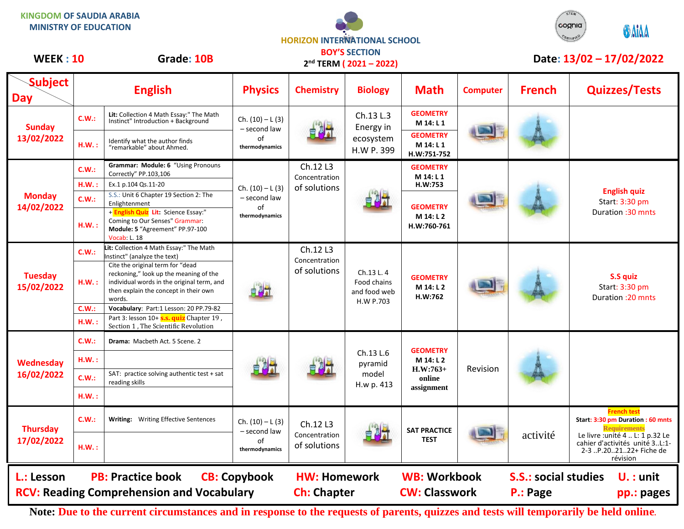



|                                                  |       |                                                                                                                                                                             |                                                            |                                           | <b>ILNIVI (ZUZI – ZUZZ)</b>                           |                                                                    |                 |                                         |                                                                                                          |  |
|--------------------------------------------------|-------|-----------------------------------------------------------------------------------------------------------------------------------------------------------------------------|------------------------------------------------------------|-------------------------------------------|-------------------------------------------------------|--------------------------------------------------------------------|-----------------|-----------------------------------------|----------------------------------------------------------------------------------------------------------|--|
| <b>Subject</b><br><b>Day</b>                     |       | <b>English</b>                                                                                                                                                              | <b>Physics</b>                                             | <b>Chemistry</b>                          | <b>Biology</b>                                        | <b>Math</b>                                                        | <b>Computer</b> | <b>French</b>                           | <b>Quizzes/Tests</b>                                                                                     |  |
| <b>Sunday</b><br>13/02/2022                      | C.W.: | Lit: Collection 4 Math Essay:" The Math<br>Instinct" Introduction + Background                                                                                              | Ch. $(10) - L(3)$<br>- second law                          |                                           | Ch.13 L.3<br>Energy in<br>ecosystem<br>H.W P. 399     | <b>GEOMETRY</b><br>M 14: L 1                                       |                 |                                         |                                                                                                          |  |
|                                                  | HM.:  | Identify what the author finds<br>"remarkable" about Ahmed.                                                                                                                 | of<br>thermodynamics                                       |                                           |                                                       | <b>GEOMETRY</b><br>M 14: L 1<br>H.W:751-752                        |                 |                                         |                                                                                                          |  |
| <b>Monday</b><br>14/02/2022                      | C.W.: | Grammar: Module: 6 "Using Pronouns<br>Correctly" PP.103,106                                                                                                                 | Ch. $(10) - L(3)$<br>- second law<br>of<br>thermodynamics  | Ch.12 L3<br>Concentration<br>of solutions |                                                       | <b>GEOMETRY</b><br>M 14: L 1                                       |                 |                                         | <b>English quiz</b><br>Start: 3:30 pm<br>Duration: 30 mnts                                               |  |
|                                                  | H.W.: | Ex.1 p.104 Qs.11-20                                                                                                                                                         |                                                            |                                           |                                                       | H.W:753                                                            |                 |                                         |                                                                                                          |  |
|                                                  | C.W.: | S.S.: Unit 6 Chapter 19 Section 2: The<br>Enlightenment                                                                                                                     |                                                            |                                           |                                                       | <b>GEOMETRY</b><br>M 14: L 2<br>H.W:760-761                        |                 |                                         |                                                                                                          |  |
|                                                  | HM.:  | + English Quiz Lit: Science Essay:"<br>Coming to Our Senses" Grammar:<br>Module: 5 "Agreement" PP.97-100<br><b>Vocab: L. 18</b>                                             |                                                            |                                           |                                                       |                                                                    |                 |                                         |                                                                                                          |  |
| <b>Tuesday</b><br>15/02/2022                     | C.W.: | Lit: Collection 4 Math Essay:" The Math<br>Instinct" (analyze the text)                                                                                                     | 自烈式                                                        | Ch.12 L3<br>Concentration<br>of solutions | Ch.13 L.4<br>Food chains<br>and food web<br>H.W P.703 | <b>GEOMETRY</b><br>M 14: L 2<br>H.W:762                            |                 |                                         | S.S quiz<br>Start: 3:30 pm<br>Duration : 20 mnts                                                         |  |
|                                                  | HM.:  | Cite the original term for "dead<br>reckoning," look up the meaning of the<br>individual words in the original term, and<br>then explain the concept in their own<br>words. |                                                            |                                           |                                                       |                                                                    |                 |                                         |                                                                                                          |  |
|                                                  | C.W.: | Vocabulary: Part:1 Lesson: 20 PP.79-82                                                                                                                                      |                                                            |                                           |                                                       |                                                                    |                 |                                         |                                                                                                          |  |
|                                                  | HM.:  | Part 3: lesson 10+ S.s. quiz Chapter 19,<br>Section 1, The Scientific Revolution                                                                                            |                                                            |                                           |                                                       |                                                                    |                 |                                         |                                                                                                          |  |
| Wednesday<br>16/02/2022                          | C.W.: | Drama: Macbeth Act. 5 Scene. 2                                                                                                                                              |                                                            |                                           | Ch.13 L.6<br>pyramid<br>model<br>H.w p. 413           | <b>GEOMETRY</b><br>M 14: L 2<br>$H.W:763+$<br>online<br>assignment | Revision        |                                         |                                                                                                          |  |
|                                                  | HM.:  |                                                                                                                                                                             |                                                            |                                           |                                                       |                                                                    |                 |                                         |                                                                                                          |  |
|                                                  | C.W.: | SAT: practice solving authentic test + sat<br>reading skills                                                                                                                |                                                            |                                           |                                                       |                                                                    |                 |                                         |                                                                                                          |  |
|                                                  | HM.:  |                                                                                                                                                                             |                                                            |                                           |                                                       |                                                                    |                 |                                         |                                                                                                          |  |
| <b>Thursday</b><br>17/02/2022                    | C.W.: | Writing: Writing Effective Sentences                                                                                                                                        | $Ch. (10) - L (3)$<br>- second law<br>of<br>thermodynamics | Ch.12 L3<br>Concentration<br>of solutions |                                                       | <b>SAT PRACTICE</b><br><b>TEST</b>                                 |                 | activité                                | <b>French test</b><br>Start: 3:30 pm Duration: 60 mnts<br><b>Requirements</b>                            |  |
|                                                  | HM.:  |                                                                                                                                                                             |                                                            |                                           |                                                       |                                                                    |                 |                                         | Le livre : unité 4  L: 1 p.32 Le<br>cahier d'activités unité 3L:1-<br>2-3 P.202122+ Fiche de<br>révision |  |
| L.: Lesson                                       |       | <b>PB: Practice book</b>                                                                                                                                                    | <b>CB: Copybook</b>                                        | <b>HW: Homework</b><br><b>Ch: Chapter</b> |                                                       | <b>WB: Workbook</b><br><b>CW: Classwork</b>                        |                 | <b>S.S.: social studies</b><br>P.: Page | $U.$ : unit<br>pp.: pages                                                                                |  |
| <b>RCV: Reading Comprehension and Vocabulary</b> |       |                                                                                                                                                                             |                                                            |                                           |                                                       |                                                                    |                 |                                         |                                                                                                          |  |

**Note: Due to the current circumstances and in response to the requests of parents, quizzes and tests will temporarily be held online.**